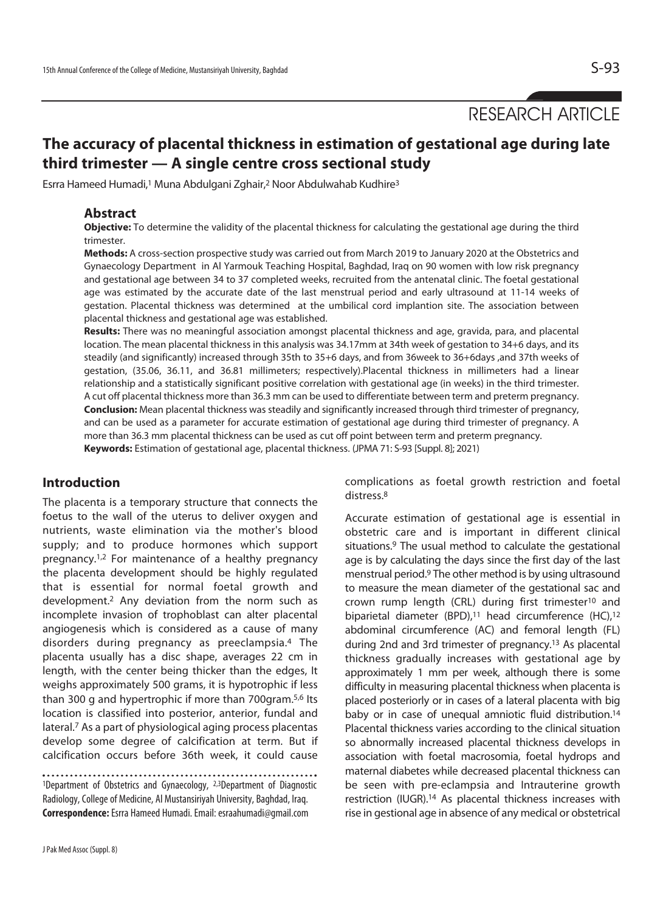RESEARCH ARTICLE

# **The accuracy of placental thickness in estimation of gestational age during late third trimester — A single centre cross sectional study**

Esrra Hameed Humadi,<sup>1</sup> Muna Abdulgani Zghair,<sup>2</sup> Noor Abdulwahab Kudhire<sup>3</sup>

#### **Abstract**

**Objective:** To determine the validity of the placental thickness for calculating the gestational age during the third trimester.

**Methods:** A cross-section prospective study was carried out from March 2019 to January 2020 at the Obstetrics and Gynaecology Department in Al Yarmouk Teaching Hospital, Baghdad, Iraq on 90 women with low risk pregnancy and gestational age between 34 to 37 completed weeks, recruited from the antenatal clinic. The foetal gestational age was estimated by the accurate date of the last menstrual period and early ultrasound at 11-14 weeks of gestation. Placental thickness was determined at the umbilical cord implantion site. The association between placental thickness and gestational age was established.

**Results:** There was no meaningful association amongst placental thickness and age, gravida, para, and placental location. The mean placental thickness in this analysis was 34.17mm at 34th week of gestation to 34+6 days, and its steadily (and significantly) increased through 35th to 35+6 days, and from 36week to 36+6days ,and 37th weeks of gestation, (35.06, 36.11, and 36.81 millimeters; respectively).Placental thickness in millimeters had a linear relationship and a statistically significant positive correlation with gestational age (in weeks) in the third trimester. A cut off placental thickness more than 36.3 mm can be used to differentiate between term and preterm pregnancy. **Conclusion:** Mean placental thickness was steadily and significantly increased through third trimester of pregnancy, and can be used as a parameter for accurate estimation of gestational age during third trimester of pregnancy. A more than 36.3 mm placental thickness can be used as cut off point between term and preterm pregnancy. **Keywords:** Estimation of gestational age, placental thickness. (JPMA 71: S-93 [Suppl. 8]; 2021)

### **Introduction**

The placenta is a temporary structure that connects the foetus to the wall of the uterus to deliver oxygen and nutrients, waste elimination via the mother's blood supply; and to produce hormones which support pregnancy.1,2 For maintenance of a healthy pregnancy the placenta development should be highly regulated that is essential for normal foetal growth and development.2 Any deviation from the norm such as incomplete invasion of trophoblast can alter placental angiogenesis which is considered as a cause of many disorders during pregnancy as preeclampsia.4 The placenta usually has a disc shape, averages 22 cm in length, with the center being thicker than the edges, It weighs approximately 500 grams, it is hypotrophic if less than 300 g and hypertrophic if more than 700gram.5,6 Its location is classified into posterior, anterior, fundal and lateral.7 As a part of physiological aging process placentas develop some degree of calcification at term. But if calcification occurs before 36th week, it could cause

1Department of Obstetrics and Gynaecology, 2,3Department of Diagnostic Radiology, College of Medicine, Al Mustansiriyah University, Baghdad, Iraq. **Correspondence:** Esrra Hameed Humadi. Email: esraahumadi@gmail.com

J Pak Med Assoc (Suppl. 8)

complications as foetal growth restriction and foetal distress.8

Accurate estimation of gestational age is essential in obstetric care and is important in different clinical situations.9 The usual method to calculate the gestational age is by calculating the days since the first day of the last menstrual period.9 The other method is by using ultrasound to measure the mean diameter of the gestational sac and crown rump length (CRL) during first trimester10 and biparietal diameter (BPD),<sup>11</sup> head circumference (HC),<sup>12</sup> abdominal circumference (AC) and femoral length (FL) during 2nd and 3rd trimester of pregnancy.13 As placental thickness gradually increases with gestational age by approximately 1 mm per week, although there is some difficulty in measuring placental thickness when placenta is placed posteriorly or in cases of a lateral placenta with big baby or in case of unequal amniotic fluid distribution.14 Placental thickness varies according to the clinical situation so abnormally increased placental thickness develops in association with foetal macrosomia, foetal hydrops and maternal diabetes while decreased placental thickness can be seen with pre-eclampsia and Intrauterine growth restriction (IUGR).14 As placental thickness increases with rise in gestional age in absence of any medical or obstetrical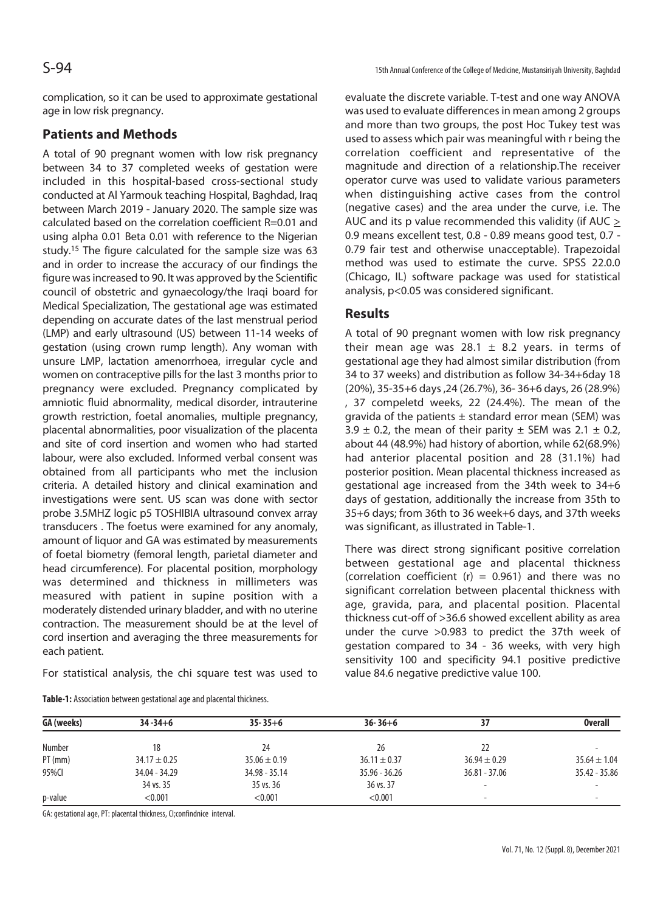complication, so it can be used to approximate gestational age in low risk pregnancy.

# **Patients and Methods**

A total of 90 pregnant women with low risk pregnancy between 34 to 37 completed weeks of gestation were included in this hospital-based cross-sectional study conducted at Al Yarmouk teaching Hospital, Baghdad, Iraq between March 2019 - January 2020. The sample size was calculated based on the correlation coefficient R=0.01 and using alpha 0.01 Beta 0.01 with reference to the Nigerian study.15 The figure calculated for the sample size was 63 and in order to increase the accuracy of our findings the figure was increased to 90. It was approved by the Scientific council of obstetric and gynaecology/the Iraqi board for Medical Specialization, The gestational age was estimated depending on accurate dates of the last menstrual period (LMP) and early ultrasound (US) between 11-14 weeks of gestation (using crown rump length). Any woman with unsure LMP, lactation amenorrhoea, irregular cycle and women on contraceptive pills for the last 3 months prior to pregnancy were excluded. Pregnancy complicated by amniotic fluid abnormality, medical disorder, intrauterine growth restriction, foetal anomalies, multiple pregnancy, placental abnormalities, poor visualization of the placenta and site of cord insertion and women who had started labour, were also excluded. Informed verbal consent was obtained from all participants who met the inclusion criteria. A detailed history and clinical examination and investigations were sent. US scan was done with sector probe 3.5MHZ logic p5 TOSHIBIA ultrasound convex array transducers . The foetus were examined for any anomaly, amount of liquor and GA was estimated by measurements of foetal biometry (femoral length, parietal diameter and head circumference). For placental position, morphology was determined and thickness in millimeters was measured with patient in supine position with a moderately distended urinary bladder, and with no uterine contraction. The measurement should be at the level of cord insertion and averaging the three measurements for each patient.

For statistical analysis, the chi square test was used to

evaluate the discrete variable. T-test and one way ANOVA was used to evaluate differences in mean among 2 groups and more than two groups, the post Hoc Tukey test was used to assess which pair was meaningful with r being the correlation coefficient and representative of the magnitude and direction of a relationship.The receiver operator curve was used to validate various parameters when distinguishing active cases from the control (negative cases) and the area under the curve, i.e. The AUC and its p value recommended this validity (if AUC > 0.9 means excellent test, 0.8 - 0.89 means good test, 0.7 - 0.79 fair test and otherwise unacceptable). Trapezoidal method was used to estimate the curve. SPSS 22.0.0 (Chicago, IL) software package was used for statistical analysis, p<0.05 was considered significant.

# **Results**

A total of 90 pregnant women with low risk pregnancy their mean age was 28.1  $\pm$  8.2 years. in terms of gestational age they had almost similar distribution (from 34 to 37 weeks) and distribution as follow 34-34+6day 18 (20%), 35-35+6 days ,24 (26.7%), 36- 36+6 days, 26 (28.9%) , 37 compeletd weeks, 22 (24.4%). The mean of the gravida of the patients  $\pm$  standard error mean (SEM) was 3.9  $\pm$  0.2, the mean of their parity  $\pm$  SEM was 2.1  $\pm$  0.2, about 44 (48.9%) had history of abortion, while 62(68.9%) had anterior placental position and 28 (31.1%) had posterior position. Mean placental thickness increased as gestational age increased from the 34th week to 34+6 days of gestation, additionally the increase from 35th to 35+6 days; from 36th to 36 week+6 days, and 37th weeks was significant, as illustrated in Table-1.

There was direct strong significant positive correlation between gestational age and placental thickness (correlation coefficient (r) =  $0.961$ ) and there was no significant correlation between placental thickness with age, gravida, para, and placental position. Placental thickness cut-off of >36.6 showed excellent ability as area under the curve >0.983 to predict the 37th week of gestation compared to 34 - 36 weeks, with very high sensitivity 100 and specificity 94.1 positive predictive value 84.6 negative predictive value 100.

| GA (weeks) | $34 - 34 + 6$    | $35 - 35 + 6$    | $36 - 36 + 6$    | 37                       | <b>Overall</b>           |
|------------|------------------|------------------|------------------|--------------------------|--------------------------|
| Number     | 18               | 24               | 26               | 22                       |                          |
| $PT$ (mm)  | $34.17 \pm 0.25$ | $35.06 \pm 0.19$ | $36.11 \pm 0.37$ | $36.94 \pm 0.29$         | $35.64 \pm 1.04$         |
| 95%CI      | 34.04 - 34.29    | $34.98 - 35.14$  | $35.96 - 36.26$  | $36.81 - 37.06$          | $35.42 - 35.86$          |
|            | 34 vs. 35        | 35 vs. 36        | 36 vs. 37        | $\overline{\phantom{a}}$ | $\overline{\phantom{0}}$ |
| p-value    | < 0.001          | < 0.001          | < 0.001          | $\overline{\phantom{0}}$ | $\overline{a}$           |

GA: gestational age, PT: placental thickness, CI;confindnice interval.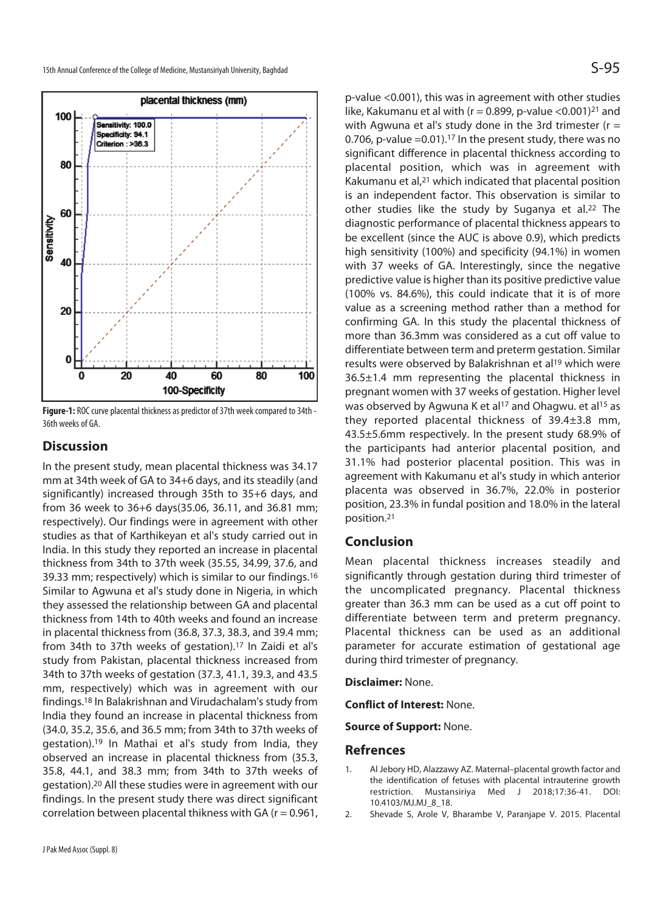

40 60 100 0 20 80 100-Specificity **Figure-1:** ROC curve placental thickness as predictor of 37th week compared to 34th - 36th weeks of GA.

### **Discussion**

100

80

60

40

20

0

Sensitivity

In the present study, mean placental thickness was 34.17 mm at 34th week of GA to 34+6 days, and its steadily (and significantly) increased through 35th to 35+6 days, and from 36 week to 36+6 days(35.06, 36.11, and 36.81 mm; respectively). Our findings were in agreement with other studies as that of Karthikeyan et al's study carried out in India. In this study they reported an increase in placental thickness from 34th to 37th week (35.55, 34.99, 37.6, and 39.33 mm; respectively) which is similar to our findings.16 Similar to Agwuna et al's study done in Nigeria, in which they assessed the relationship between GA and placental thickness from 14th to 40th weeks and found an increase in placental thickness from (36.8, 37.3, 38.3, and 39.4 mm; from 34th to 37th weeks of gestation).17 In Zaidi et al's study from Pakistan, placental thickness increased from 34th to 37th weeks of gestation (37.3, 41.1, 39.3, and 43.5 mm, respectively) which was in agreement with our findings.18 In Balakrishnan and Virudachalam's study from India they found an increase in placental thickness from (34.0, 35.2, 35.6, and 36.5 mm; from 34th to 37th weeks of gestation).19 In Mathai et al's study from India, they observed an increase in placental thickness from (35.3, 35.8, 44.1, and 38.3 mm; from 34th to 37th weeks of gestation).20 All these studies were in agreement with our findings. In the present study there was direct significant correlation between placental thikness with GA ( $r = 0.961$ , p-value <0.001), this was in agreement with other studies like, Kakumanu et al with ( $r = 0.899$ , p-value <0.001)<sup>21</sup> and with Agwuna et al's study done in the 3rd trimester ( $r =$ 0.706, p-value =  $0.01$ ).<sup>17</sup> In the present study, there was no significant difference in placental thickness according to placental position, which was in agreement with Kakumanu et al,21 which indicated that placental position is an independent factor. This observation is similar to other studies like the study by Suganya et al.22 The diagnostic performance of placental thickness appears to be excellent (since the AUC is above 0.9), which predicts high sensitivity (100%) and specificity (94.1%) in women with 37 weeks of GA. Interestingly, since the negative predictive value is higher than its positive predictive value (100% vs. 84.6%), this could indicate that it is of more value as a screening method rather than a method for confirming GA. In this study the placental thickness of more than 36.3mm was considered as a cut off value to differentiate between term and preterm gestation. Similar results were observed by Balakrishnan et al<sup>19</sup> which were 36.5±1.4 mm representing the placental thickness in pregnant women with 37 weeks of gestation. Higher level was observed by Agwuna K et al<sup>17</sup> and Ohagwu. et al<sup>15</sup> as they reported placental thickness of 39.4±3.8 mm, 43.5±5.6mm respectively. In the present study 68.9% of the participants had anterior placental position, and 31.1% had posterior placental position. This was in agreement with Kakumanu et al's study in which anterior placenta was observed in 36.7%, 22.0% in posterior position, 23.3% in fundal position and 18.0% in the lateral position.21

#### **Conclusion**

Mean placental thickness increases steadily and significantly through gestation during third trimester of the uncomplicated pregnancy. Placental thickness greater than 36.3 mm can be used as a cut off point to differentiate between term and preterm pregnancy. Placental thickness can be used as an additional parameter for accurate estimation of gestational age during third trimester of pregnancy.

**Disclaimer:** None.

**Conflict of Interest:** None.

**Source of Support:** None.

#### **Refrences**

- 1. Al Jebory HD, Alazzawy AZ. Maternal–placental growth factor and the identification of fetuses with placental intrauterine growth restriction. Mustansiriya Med J 2018;17:36-41. DOI: 10.4103/MJ.MJ\_8\_18.
- 2. Shevade S, Arole V, Bharambe V, Paranjape V. 2015. Placental